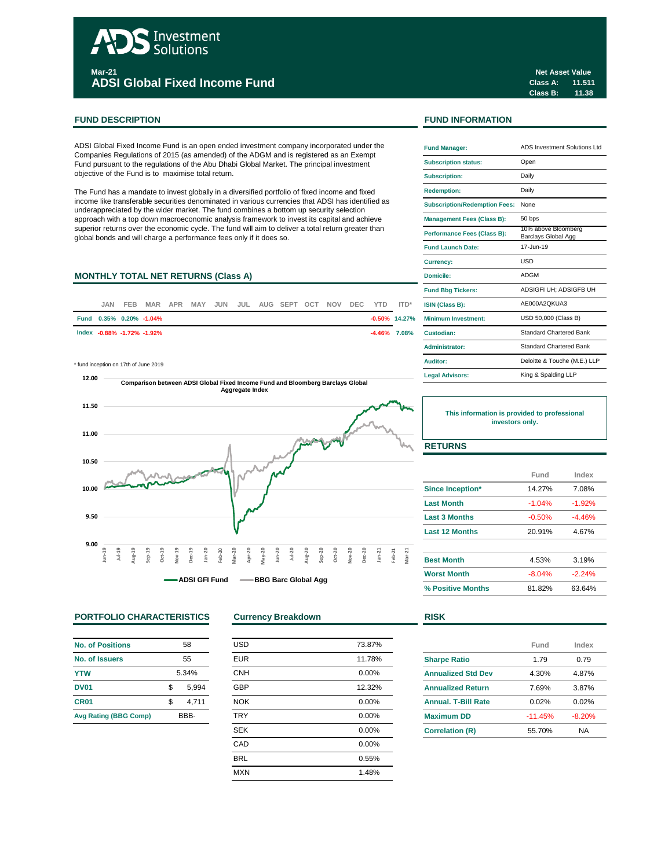# Investment Solutions **Mar-21 ADSI Global Fixed Income Fund**

### **FUND DESCRIPTION FUND INFORMATION**

ADSI Global Fixed Income Fund is an open ended investment company incorporated under the Companies Regulations of 2015 (as amended) of the ADGM and is registered as an Exempt Fund pursuant to the regulations of the Abu Dhabi Global Market. The principal investment objective of the Fund is to maximise total return.

The Fund has a mandate to invest globally in a diversified portfolio of fixed income and fixed income like transferable securities denominated in various currencies that ADSI has identified as underappreciated by the wider market. The fund combines a bottom up security selection approach with a top down macroeconomic analysis framework to invest its capital and achieve superior returns over the economic cycle. The fund will aim to deliver a total return greater than global bonds and will charge a performance fees only if it does so.

## **MONTHLY TOTAL NET RETURNS (Class A)**

| <b>JAN</b> | FEB. |                            |  |  | MAR APR MAY JUN JUL AUG SEPT OCT NOV DEC YTD ITD* |  |  |                  | <b>ISIN (Class B):</b>     |
|------------|------|----------------------------|--|--|---------------------------------------------------|--|--|------------------|----------------------------|
|            |      | Fund 0.35% 0.20% -1.04%    |  |  |                                                   |  |  | $-0.50\%$ 14.27% | <b>Minimum Investment:</b> |
|            |      | Index -0.88% -1.72% -1.92% |  |  |                                                   |  |  | $-4.46\%$ 7.08%  | Custodian:                 |
|            |      |                            |  |  |                                                   |  |  |                  |                            |

 $*$  fund inception on 17th of June 2019



## **PORTFOLIO CHARACTERISTICS Currency Breakdown RISK**

| <b>No. of Positions</b>      | 58    |       |  |  |
|------------------------------|-------|-------|--|--|
| No. of Issuers               | 55    |       |  |  |
| <b>YTW</b>                   | 5.34% |       |  |  |
| <b>DV01</b>                  | \$    | 5.994 |  |  |
| CR <sub>01</sub>             | \$    | 4,711 |  |  |
| <b>Avg Rating (BBG Comp)</b> | RRR-  |       |  |  |

| <b>USD</b> | 73.87% |
|------------|--------|
| <b>EUR</b> | 11.78% |
| <b>CNH</b> | 0.00%  |
| <b>GBP</b> | 12.32% |
| <b>NOK</b> | 0.00%  |
| <b>TRY</b> | 0.00%  |
| <b>SEK</b> | 0.00%  |
| CAD        | 0.00%  |
| <b>BRL</b> | 0.55%  |
| <b>MXN</b> | 1.48%  |
|            |        |

**Class A: 11.511 Class B: 11.38 Net Asset Value**

| <b>Fund Manager:</b>                 | ADS Investment Solutions Ltd               |  |  |  |
|--------------------------------------|--------------------------------------------|--|--|--|
| <b>Subscription status:</b>          | Open                                       |  |  |  |
| <b>Subscription:</b>                 | Daily                                      |  |  |  |
| <b>Redemption:</b>                   | Daily                                      |  |  |  |
| <b>Subscription/Redemption Fees:</b> | None                                       |  |  |  |
| <b>Management Fees (Class B):</b>    | 50 bps                                     |  |  |  |
| <b>Performance Fees (Class B):</b>   | 10% above Bloomberg<br>Barclays Global Agg |  |  |  |
| <b>Fund Launch Date:</b>             | 17-Jun-19                                  |  |  |  |
| <b>Currency:</b>                     | LISD                                       |  |  |  |
| Domicile:                            | <b>ADGM</b>                                |  |  |  |
| <b>Fund Bbg Tickers:</b>             | ADSIGFI UH: ADSIGFB UH                     |  |  |  |
| ISIN (Class B):                      | AE000A2OKUA3                               |  |  |  |
| Minimum Investment:                  | USD 50,000 (Class B)                       |  |  |  |
| Custodian:                           | <b>Standard Chartered Bank</b>             |  |  |  |
| Administrator:                       | <b>Standard Chartered Bank</b>             |  |  |  |
| Auditor:                             | Deloitte & Touche (M.E.) LLP               |  |  |  |
| <b>Legal Advisors:</b>               | King & Spalding LLP                        |  |  |  |

**This information is provided to professional investors only.**

## **RETURNS**

|                         | Fund     | Index    |
|-------------------------|----------|----------|
| <b>Since Inception*</b> | 14.27%   | 7.08%    |
| <b>Last Month</b>       | $-1.04%$ | $-1.92%$ |
| <b>Last 3 Months</b>    | $-0.50%$ | $-4.46%$ |
| <b>Last 12 Months</b>   | 20.91%   | 4.67%    |
| <b>Best Month</b>       | 4.53%    | 3.19%    |
| <b>Worst Month</b>      | $-8.04%$ | $-2.24%$ |
| % Positive Months       | 81.82%   | 63.64%   |

|                            | Fund      | Index    |
|----------------------------|-----------|----------|
| <b>Sharpe Ratio</b>        | 1.79      | 0.79     |
| <b>Annualized Std Dev</b>  | 4.30%     | 4.87%    |
| <b>Annualized Return</b>   | 7.69%     | 3.87%    |
| <b>Annual, T-Bill Rate</b> | 0.02%     | 0.02%    |
| <b>Maximum DD</b>          | $-11.45%$ | $-8.20%$ |
| <b>Correlation (R)</b>     | 55.70%    | NA       |